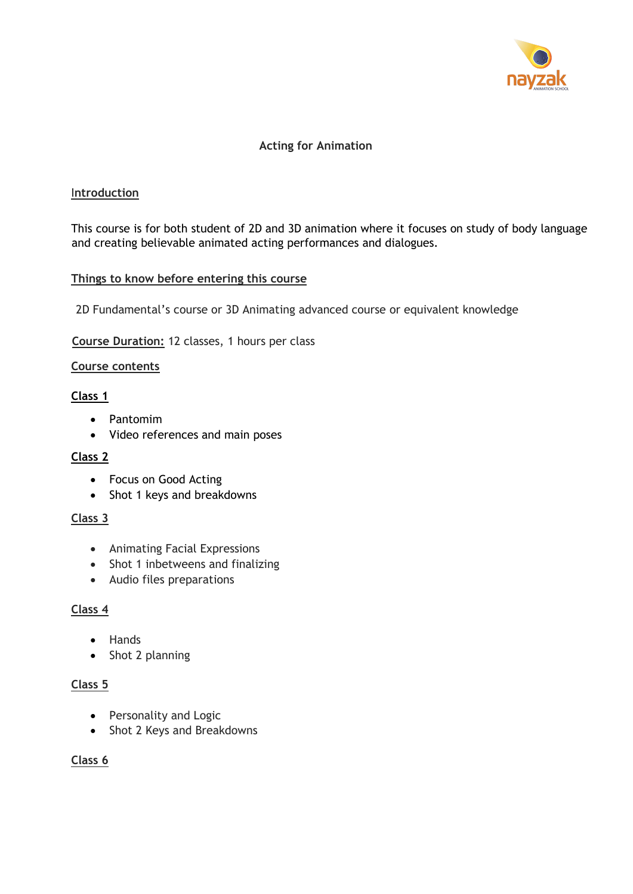

## **Acting for Animation**

#### I**ntroduction**

This course is for both student of 2D and 3D animation where it focuses on study of body language and creating believable animated acting performances and dialogues.

## **Things to know before entering this course**

2D Fundamental's course or 3D Animating advanced course or equivalent knowledge

#### **Course Duration:** 12 classes, 1 hours per class

#### **Course contents**

#### **Class 1**

- Pantomim
- Video references and main poses

## **Class 2**

- Focus on Good Acting
- Shot 1 keys and breakdowns

#### **Class 3**

- Animating Facial Expressions
- Shot 1 inbetweens and finalizing
- Audio files preparations

## **Class 4**

- Hands
- Shot 2 planning

#### **Class 5**

- Personality and Logic
- Shot 2 Keys and Breakdowns

## **Class 6**